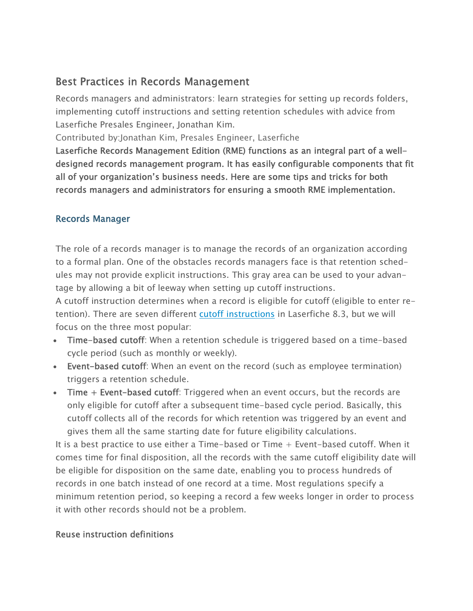# Best Practices in Records Management

Records managers and administrators: learn strategies for setting up records folders, implementing cutoff instructions and setting retention schedules with advice from Laserfiche Presales Engineer, Jonathan Kim.

Contributed by:Jonathan Kim, Presales Engineer, Laserfiche

Laserfiche Records Management Edition (RME) functions as an integral part of a welldesigned records management program. It has easily configurable components that fit all of your organization's business needs. Here are some tips and tricks for both records managers and administrators for ensuring a smooth RME implementation.

#### Records Manager

The role of a records manager is to manage the records of an organization according to a formal plan. One of the obstacles records managers face is that retention schedules may not provide explicit instructions. This gray area can be used to your advantage by allowing a bit of leeway when setting up cutoff instructions.

A cutoff instruction determines when a record is eligible for cutoff (eligible to enter retention). There are seven different cutoff instructions in Laserfiche 8.3, but we will focus on the three most popular:

- Time-based cutoff: When a retention schedule is triggered based on a time-based cycle period (such as monthly or weekly).
- Event-based cutoff: When an event on the record (such as employee termination) triggers a retention schedule.
- Time + Event-based cutoff: Triggered when an event occurs, but the records are only eligible for cutoff after a subsequent time-based cycle period. Basically, this cutoff collects all of the records for which retention was triggered by an event and gives them all the same starting date for future eligibility calculations.

It is a best practice to use either a Time-based or Time  $+$  Event-based cutoff. When it comes time for final disposition, all the records with the same cutoff eligibility date will be eligible for disposition on the same date, enabling you to process hundreds of records in one batch instead of one record at a time. Most regulations specify a minimum retention period, so keeping a record a few weeks longer in order to process it with other records should not be a problem.

### Reuse instruction definitions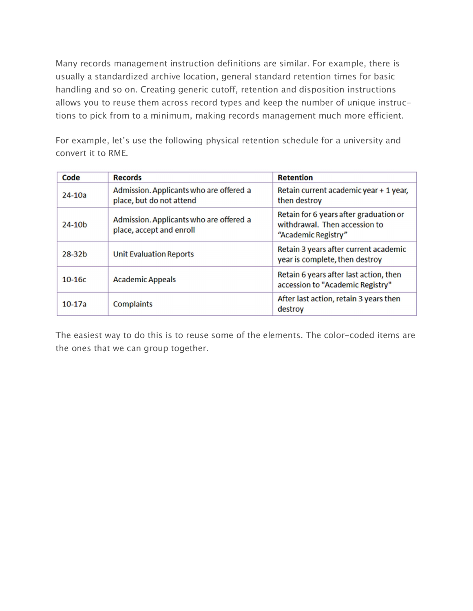Many records management instruction definitions are similar. For example, there is usually a standardized archive location, general standard retention times for basic handling and so on. Creating generic cutoff, retention and disposition instructions allows you to reuse them across record types and keep the number of unique instructions to pick from to a minimum, making records management much more efficient.

For example, let's use the following physical retention schedule for a university and convert it to RME.

| Code       | <b>Records</b>                                                      | <b>Retention</b>                                                                               |
|------------|---------------------------------------------------------------------|------------------------------------------------------------------------------------------------|
| $24-10a$   | Admission. Applicants who are offered a<br>place, but do not attend | Retain current academic year + 1 year,<br>then destroy                                         |
| $24-10b$   | Admission. Applicants who are offered a<br>place, accept and enroll | Retain for 6 years after graduation or<br>withdrawal. Then accession to<br>"Academic Registry" |
| $28 - 32b$ | <b>Unit Evaluation Reports</b>                                      | Retain 3 years after current academic<br>year is complete, then destroy                        |
| $10-16c$   | <b>Academic Appeals</b>                                             | Retain 6 years after last action, then<br>accession to "Academic Registry"                     |
| $10-17a$   | Complaints                                                          | After last action, retain 3 years then<br>destroy                                              |

The easiest way to do this is to reuse some of the elements. The color-coded items are the ones that we can group together.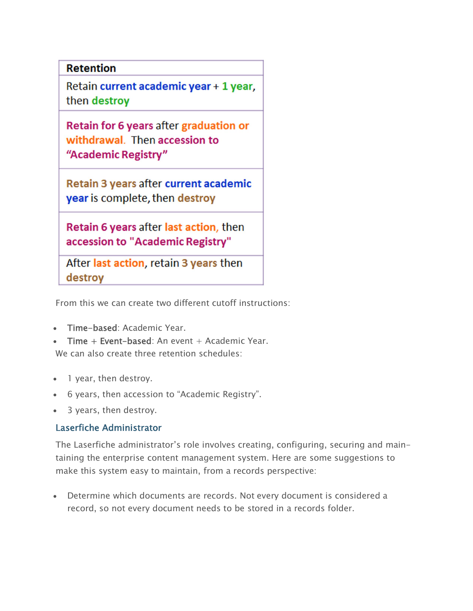## **Retention**

Retain current academic year + 1 year, then destroy

Retain for 6 years after graduation or withdrawal. Then accession to "Academic Registry"

Retain 3 years after current academic year is complete, then destroy

Retain 6 years after last action, then accession to "Academic Registry"

After last action, retain 3 years then destroy

From this we can create two different cutoff instructions:

- Time-based: Academic Year.
- Time + Event-based: An event + Academic Year. We can also create three retention schedules:
- 1 year, then destroy.
- 6 years, then accession to "Academic Registry".
- 3 years, then destroy.

#### Laserfiche Administrator

The Laserfiche administrator's role involves creating, configuring, securing and maintaining the enterprise content management system. Here are some suggestions to make this system easy to maintain, from a records perspective:

 Determine which documents are records. Not every document is considered a record, so not every document needs to be stored in a records folder.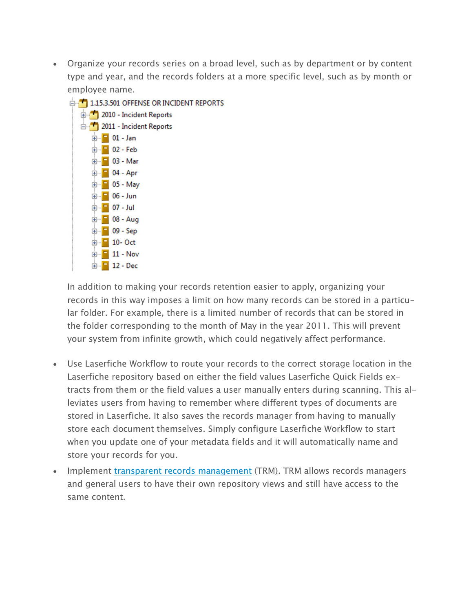Organize your records series on a broad level, such as by department or by content type and year, and the records folders at a more specific level, such as by month or employee name.



In addition to making your records retention easier to apply, organizing your records in this way imposes a limit on how many records can be stored in a particular folder. For example, there is a limited number of records that can be stored in the folder corresponding to the month of May in the year 2011. This will prevent your system from infinite growth, which could negatively affect performance.

- Use Laserfiche Workflow to route your records to the correct storage location in the Laserfiche repository based on either the field values Laserfiche Quick Fields extracts from them or the field values a user manually enters during scanning. This alleviates users from having to remember where different types of documents are stored in Laserfiche. It also saves the records manager from having to manually store each document themselves. Simply configure Laserfiche Workflow to start when you update one of your metadata fields and it will automatically name and store your records for you.
- Implement transparent records management (TRM). TRM allows records managers and general users to have their own repository views and still have access to the same content.